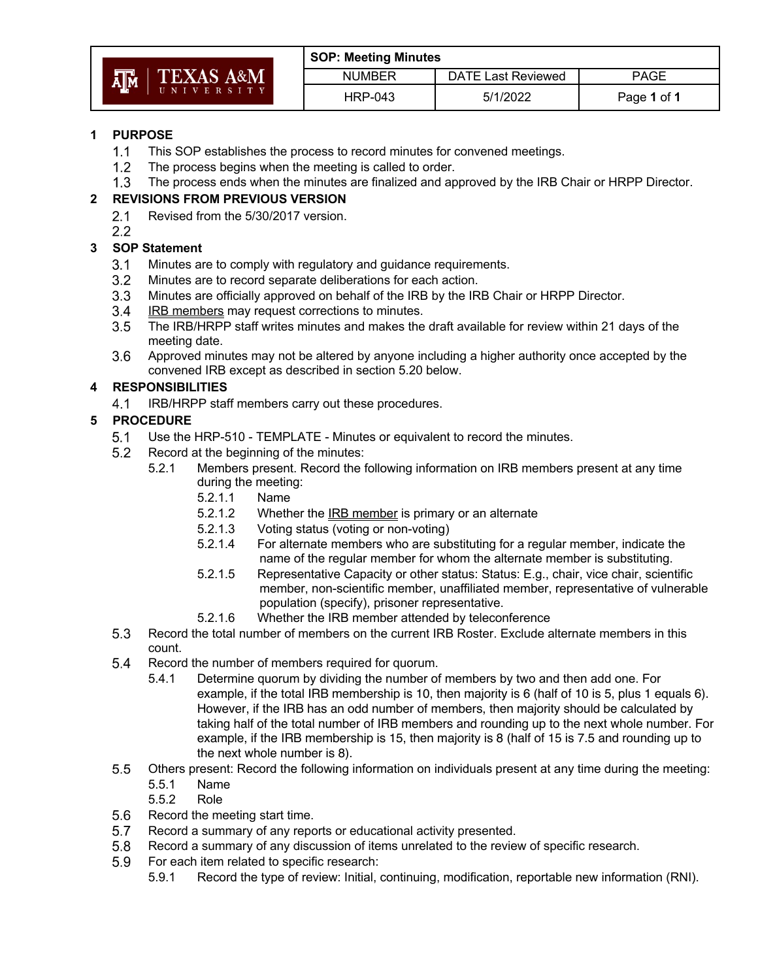|  | AM TEXAS A&M<br>UNIVERSITY |  |  |  |  |  |  |  |
|--|----------------------------|--|--|--|--|--|--|--|
|  |                            |  |  |  |  |  |  |  |

| <b>SOP: Meeting Minutes</b> |                           |             |  |  |  |
|-----------------------------|---------------------------|-------------|--|--|--|
| <b>NUMBER</b>               | <b>DATE Last Reviewed</b> | <b>PAGE</b> |  |  |  |
| <b>HRP-043</b>              | 5/1/2022                  | Page 1 of 1 |  |  |  |

### **1 PURPOSE**

- $1.1$ This SOP establishes the process to record minutes for convened meetings.
- $1.2$ The process begins when the meeting is called to order.
- $1.3$ The process ends when the minutes are finalized and approved by the IRB Chair or HRPP Director.

### **2 REVISIONS FROM PREVIOUS VERSION**

- $2.1$ Revised from the 5/30/2017 version.
- $2.2$

# **3 SOP Statement**

- $3.1$ Minutes are to comply with regulatory and guidance requirements.
- $3.2$ Minutes are to record separate deliberations for each action.
- $3.3$ Minutes are officially approved on behalf of the IRB by the IRB Chair or HRPP Director.
- IRB members may request corrections to minutes.  $3.4$
- $3.5$ The IRB/HRPP staff writes minutes and makes the draft available for review within 21 days of the meeting date.
- $3.6$ Approved minutes may not be altered by anyone including a higher authority once accepted by the convened IRB except as described in section 5.20 below.

# **4 RESPONSIBILITIES**

 $4.1$ IRB/HRPP staff members carry out these procedures.

# **5 PROCEDURE**

- $5.1$ Use the HRP-510 - TEMPLATE - Minutes or equivalent to record the minutes.
- $5.2$ Record at the beginning of the minutes:
	- 5.2.1 Members present. Record the following information on IRB members present at any time during the meeting:
		- 5.2.1.1 Name
		- 5.2.1.2 Whether the IRB member is primary or an alternate
		- 5.2.1.3 Voting status (voting or non-voting)
		- 5.2.1.4 For alternate members who are substituting for a regular member, indicate the name of the regular member for whom the alternate member is substituting.
		- 5.2.1.5 Representative Capacity or other status: Status: E.g., chair, vice chair, scientific member, non-scientific member, unaffiliated member, representative of vulnerable population (specify), prisoner representative.
		- 5.2.1.6 Whether the IRB member attended by teleconference
- 5.3 Record the total number of members on the current IRB Roster. Exclude alternate members in this count.
- $5.4$ Record the number of members required for quorum.
	- 5.4.1 Determine quorum by dividing the number of members by two and then add one. For example, if the total IRB membership is 10, then majority is 6 (half of 10 is 5, plus 1 equals 6). However, if the IRB has an odd number of members, then majority should be calculated by taking half of the total number of IRB members and rounding up to the next whole number. For example, if the IRB membership is 15, then majority is 8 (half of 15 is 7.5 and rounding up to the next whole number is 8).
- $5.5$ Others present: Record the following information on individuals present at any time during the meeting:
	- 5.5.1 Name
	- 5.5.2 Role
- $5.6$ Record the meeting start time.
- $5.7$ Record a summary of any reports or educational activity presented.
- Record a summary of any discussion of items unrelated to the review of specific research.  $5.8$
- 5.9 For each item related to specific research:
	- 5.9.1 Record the type of review: Initial, continuing, modification, reportable new information (RNI).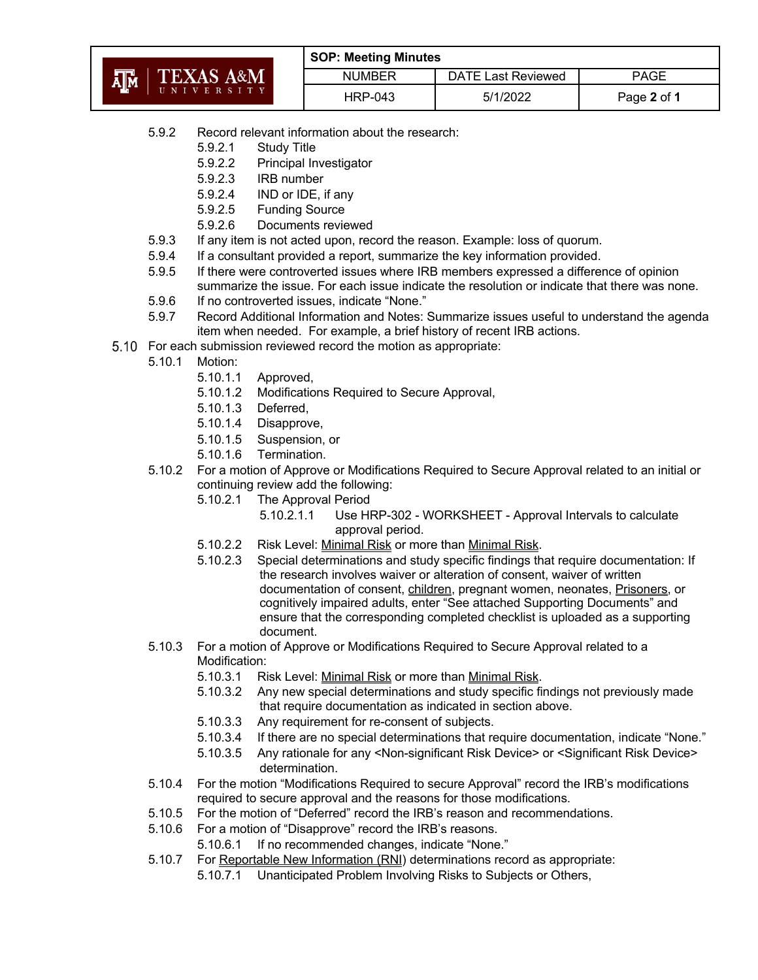|                | <b>SOP: Meeting Minutes</b> |                    |             |  |  |
|----------------|-----------------------------|--------------------|-------------|--|--|
| TEXAS A&M<br>哑 | <b>NUMBER</b>               | DATE Last Reviewed | <b>PAGE</b> |  |  |
| UNIVERSITY     | <b>HRP-043</b>              | 5/1/2022           | Page 2 of 1 |  |  |

- 5.9.2 Record relevant information about the research:
	- 5.9.2.1 Study Title
	- 5.9.2.2 Principal Investigator
	- 5.9.2.3 IRB number
	- 5.9.2.4 IND or IDE, if any
	- 5.9.2.5 Funding Source
	- 5.9.2.6 Documents reviewed
- 5.9.3 If any item is not acted upon, record the reason. Example: loss of quorum.
- 5.9.4 If a consultant provided a report, summarize the key information provided.
- 5.9.5 If there were controverted issues where IRB members expressed a difference of opinion summarize the issue. For each issue indicate the resolution or indicate that there was none.
- 5.9.6 If no controverted issues, indicate "None."
- 5.9.7 Record Additional Information and Notes: Summarize issues useful to understand the agenda item when needed. For example, a brief history of recent IRB actions.
- 5.10 For each submission reviewed record the motion as appropriate:
	- 5.10.1 Motion:
		- 5.10.1.1 Approved,
		- 5.10.1.2 Modifications Required to Secure Approval,
		- 5.10.1.3 Deferred,
		- 5.10.1.4 Disapprove,
		- 5.10.1.5 Suspension, or
		- 5.10.1.6 Termination.
	- 5.10.2 For a motion of Approve or Modifications Required to Secure Approval related to an initial or continuing review add the following:
		- 5.10.2.1 The Approval Period
			- 5.10.2.1.1 Use HRP-302 WORKSHEET Approval Intervals to calculate approval period.
		- 5.10.2.2 Risk Level: Minimal Risk or more than Minimal Risk.
		- 5.10.2.3 Special determinations and study specific findings that require documentation: If the research involves waiver or alteration of consent, waiver of written documentation of consent, children, pregnant women, neonates, Prisoners, or cognitively impaired adults, enter "See attached Supporting Documents" and ensure that the corresponding completed checklist is uploaded as a supporting document.
	- 5.10.3 For a motion of Approve or Modifications Required to Secure Approval related to a Modification:
		- 5.10.3.1 Risk Level: Minimal Risk or more than Minimal Risk.
		- 5.10.3.2 Any new special determinations and study specific findings not previously made that require documentation as indicated in section above.
		- 5.10.3.3 Any requirement for re-consent of subjects.
		- 5.10.3.4 If there are no special determinations that require documentation, indicate "None."
		- 5.10.3.5 Any rationale for any <Non-significant Risk Device> or <Significant Risk Device> determination.
	- 5.10.4 For the motion "Modifications Required to secure Approval" record the IRB's modifications required to secure approval and the reasons for those modifications.
	- 5.10.5 For the motion of "Deferred" record the IRB's reason and recommendations.
	- 5.10.6 For a motion of "Disapprove" record the IRB's reasons.
		- 5.10.6.1 If no recommended changes, indicate "None."
	- 5.10.7 For Reportable New Information (RNI) determinations record as appropriate:
		- 5.10.7.1 Unanticipated Problem Involving Risks to Subjects or Others,